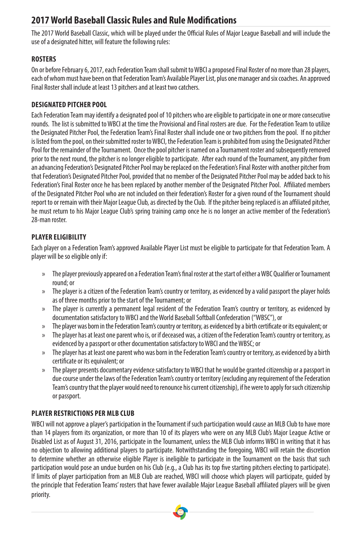# **2017 World Baseball Classic Rules and Rule Modifications**

The 2017 World Baseball Classic, which will be played under the Official Rules of Major League Baseball and will include the use of a designated hitter, will feature the following rules:

# **ROSTERS**

On or before February 6, 2017, each Federation Team shall submit to WBCI a proposed Final Roster of no more than 28 players, each of whom must have been on that Federation Team's Available Player List, plus one manager and six coaches. An approved Final Roster shall include at least 13 pitchers and at least two catchers.

# **DESIGNATED PITCHER POOL**

Each Federation Team may identify a designated pool of 10 pitchers who are eligible to participate in one or more consecutive rounds. The list is submitted to WBCI at the time the Provisional and Final rosters are due. For the Federation Team to utilize the Designated Pitcher Pool, the Federation Team's Final Roster shall include one or two pitchers from the pool. If no pitcher is listed from the pool, on their submitted roster to WBCI, the Federation Team is prohibited from using the Designated Pitcher Pool for the remainder of the Tournament. Once the pool pitcher is named on a Tournament roster and subsequently removed prior to the next round, the pitcher is no longer eligible to participate. After each round of the Tournament, any pitcher from an advancing Federation's Designated Pitcher Pool may be replaced on the Federation's Final Roster with another pitcher from that Federation's Designated Pitcher Pool, provided that no member of the Designated Pitcher Pool may be added back to his Federation's Final Roster once he has been replaced by another member of the Designated Pitcher Pool. Affiliated members of the Designated Pitcher Pool who are not included on their federation's Roster for a given round of the Tournament should report to or remain with their Major League Club, as directed by the Club. If the pitcher being replaced is an affiliated pitcher, he must return to his Major League Club's spring training camp once he is no longer an active member of the Federation's 28-man roster.

# **PLAYER ELIGIBILITY**

Each player on a Federation Team's approved Available Player List must be eligible to participate for that Federation Team. A player will be so eligible only if:

- » The player previously appeared on a Federation Team's final roster at the start of either a WBC Qualifier or Tournament round; or
- » The player is a citizen of the Federation Team's country or territory, as evidenced by a valid passport the player holds as of three months prior to the start of the Tournament; or
- » The player is currently a permanent legal resident of the Federation Team's country or territory, as evidenced by documentation satisfactory to WBCI and the World Baseball Softball Confederation ("WBSC"), or
- » The player was born in the Federation Team's country or territory, as evidenced by a birth certificate or its equivalent; or
- » The player has at least one parent who is, or if deceased was, a citizen of the Federation Team's country or territory, as evidenced by a passport or other documentation satisfactory to WBCI and the WBSC; or
- » The player has at least one parent who was born in the Federation Team's country or territory, as evidenced by a birth certificate or its equivalent; or
- » The player presents documentary evidence satisfactory to WBCI that he would be granted citizenship or a passport in due course under the laws of the Federation Team's country or territory (excluding any requirement of the Federation Team's country that the player would need to renounce his current citizenship), if he were to apply for such citizenship or passport.

# **PLAYER RESTRICTIONS PER MLB CLUB**

WBCI will not approve a player's participation in the Tournament if such participation would cause an MLB Club to have more than 14 players from its organization, or more than 10 of its players who were on any MLB Club's Major League Active or Disabled List as of August 31, 2016, participate in the Tournament, unless the MLB Club informs WBCI in writing that it has no objection to allowing additional players to participate. Notwithstanding the foregoing, WBCI will retain the discretion to determine whether an otherwise eligible Player is ineligible to participate in the Tournament on the basis that such participation would pose an undue burden on his Club (e.g., a Club has its top five starting pitchers electing to participate). If limits of player participation from an MLB Club are reached, WBCI will choose which players will participate, guided by the principle that Federation Teams' rosters that have fewer available Major League Baseball affiliated players will be given priority.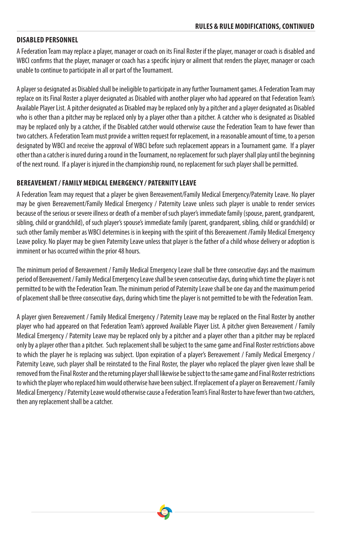#### **DISABLED PERSONNEL**

A Federation Team may replace a player, manager or coach on its Final Roster if the player, manager or coach is disabled and WBCI confirms that the player, manager or coach has a specific injury or ailment that renders the player, manager or coach unable to continue to participate in all or part of the Tournament.

A player so designated as Disabled shall be ineligible to participate in any further Tournament games. A Federation Team may replace on its Final Roster a player designated as Disabled with another player who had appeared on that Federation Team's Available Player List. A pitcher designated as Disabled may be replaced only by a pitcher and a player designated as Disabled who is other than a pitcher may be replaced only by a player other than a pitcher. A catcher who is designated as Disabled may be replaced only by a catcher, if the Disabled catcher would otherwise cause the Federation Team to have fewer than two catchers. A Federation Team must provide a written request for replacement, in a reasonable amount of time, to a person designated by WBCI and receive the approval of WBCI before such replacement appears in a Tournament game. If a player other than a catcher is inured during a round in the Tournament, no replacement for such player shall play until the beginning of the next round. If a player is injured in the championship round, no replacement for such player shall be permitted.

## **BEREAVEMENT / FAMILY MEDICAL EMERGENCY / PATERNITY LEAVE**

A Federation Team may request that a player be given Bereavement/Family Medical Emergency/Paternity Leave. No player may be given Bereavement/Family Medical Emergency / Paternity Leave unless such player is unable to render services because of the serious or severe illness or death of a member of such player's immediate family (spouse, parent, grandparent, sibling, child or grandchild), of such player's spouse's immediate family (parent, grandparent, sibling, child or grandchild) or such other family member as WBCI determines is in keeping with the spirit of this Bereavement /Family Medical Emergency Leave policy. No player may be given Paternity Leave unless that player is the father of a child whose delivery or adoption is imminent or has occurred within the prior 48 hours.

The minimum period of Bereavement / Family Medical Emergency Leave shall be three consecutive days and the maximum period of Bereavement / Family Medical Emergency Leave shall be seven consecutive days, during which time the player is not permitted to be with the Federation Team. The minimum period of Paternity Leave shall be one day and the maximum period of placement shall be three consecutive days, during which time the player is not permitted to be with the Federation Team.

A player given Bereavement / Family Medical Emergency / Paternity Leave may be replaced on the Final Roster by another player who had appeared on that Federation Team's approved Available Player List. A pitcher given Bereavement / Family Medical Emergency / Paternity Leave may be replaced only by a pitcher and a player other than a pitcher may be replaced only by a player other than a pitcher. Such replacement shall be subject to the same game and Final Roster restrictions above to which the player he is replacing was subject. Upon expiration of a player's Bereavement / Family Medical Emergency / Paternity Leave, such player shall be reinstated to the Final Roster, the player who replaced the player given leave shall be removed from the Final Roster and the returning player shall likewise be subject to the same game and Final Roster restrictions to which the player who replaced him would otherwise have been subject. If replacement of a player on Bereavement / Family Medical Emergency / Paternity Leave would otherwise cause a Federation Team's Final Roster to have fewer than two catchers, then any replacement shall be a catcher.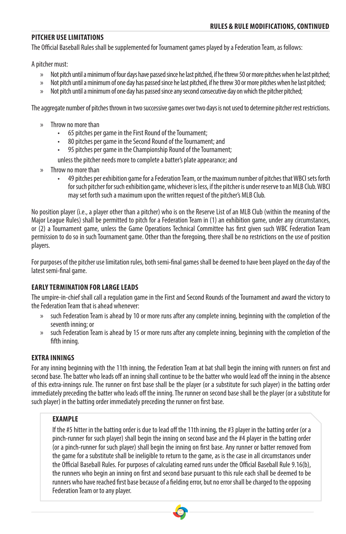#### **PITCHER USE LIMITATIONS**

The Official Baseball Rules shall be supplemented for Tournament games played by a Federation Team, as follows:

A pitcher must:

- » Not pitch until a minimum of four days have passed since he last pitched, if he threw 50 or more pitches when he last pitched;
- » Not pitch until a minimum of one day has passed since he last pitched, if he threw 30 or more pitches when he last pitched;
- » Not pitch until a minimum of one day has passed since any second consecutive day on which the pitcher pitched;

The aggregate number of pitches thrown in two successive games over two days is not used to determine pitcher rest restrictions.

- » Throw no more than
	- 65 pitches per game in the First Round of the Tournament;
	- 80 pitches per game in the Second Round of the Tournament; and
	- 95 pitches per game in the Championship Round of the Tournament;

unless the pitcher needs more to complete a batter's plate appearance; and

- » Throw no more than
	- 49 pitches per exhibition game for a Federation Team, or the maximum number of pitches that WBCI sets forth for such pitcher for such exhibition game, whichever is less, if the pitcher is under reserve to an MLB Club. WBCI may set forth such a maximum upon the written request of the pitcher's MLB Club.

No position player (i.e., a player other than a pitcher) who is on the Reserve List of an MLB Club (within the meaning of the Major League Rules) shall be permitted to pitch for a Federation Team in (1) an exhibition game, under any circumstances, or (2) a Tournament game, unless the Game Operations Technical Committee has first given such WBC Federation Team permission to do so in such Tournament game. Other than the foregoing, there shall be no restrictions on the use of position players.

For purposes of the pitcher use limitation rules, both semi-final games shall be deemed to have been played on the day of the latest semi-final game.

## **EARLY TERMINATION FOR LARGE LEADS**

The umpire-in-chief shall call a regulation game in the First and Second Rounds of the Tournament and award the victory to the Federation Team that is ahead whenever:

- » such Federation Team is ahead by 10 or more runs after any complete inning, beginning with the completion of the seventh inning; or
- » such Federation Team is ahead by 15 or more runs after any complete inning, beginning with the completion of the fifth inning.

## **EXTRA INNINGS**

For any inning beginning with the 11th inning, the Federation Team at bat shall begin the inning with runners on first and second base. The batter who leads off an inning shall continue to be the batter who would lead off the inning in the absence of this extra-innings rule. The runner on first base shall be the player (or a substitute for such player) in the batting order immediately preceding the batter who leads off the inning. The runner on second base shall be the player (or a substitute for such player) in the batting order immediately preceding the runner on first base.

#### **EXAMPLE**

If the #5 hitter in the batting order is due to lead off the 11th inning, the #3 player in the batting order (or a pinch-runner for such player) shall begin the inning on second base and the #4 player in the batting order (or a pinch-runner for such player) shall begin the inning on first base. Any runner or batter removed from the game for a substitute shall be ineligible to return to the game, as is the case in all circumstances under the Official Baseball Rules. For purposes of calculating earned runs under the Official Baseball Rule 9.16(b), the runners who begin an inning on first and second base pursuant to this rule each shall be deemed to be runners who have reached first base because of a fielding error, but no error shall be charged to the opposing Federation Team or to any player.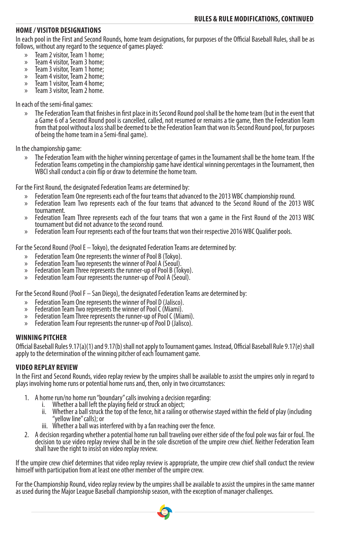#### **HOME / VISITOR DESIGNATIONS**

In each pool in the First and Second Rounds, home team designations, for purposes of the Official Baseball Rules, shall be as follows, without any regard to the sequence of games played:

- 
- » Team 2 visitor, Team 3 home;<br>
» Team 4 visitor, Team 3 home;<br>
» Team 4 visitor, Team 2 home;<br>
» Team 4 visitor, Team 2 home;<br>
» Team 3 visitor, Team 2 home.<br>
» Team 3 visitor, Team 2 home.
- 
- 
- 
- 

In each of the semi-final games:

» The Federation Team that finishes in first place in its Second Round pool shall be the home team (but in the event that a Game 6 of a Second Round pool is cancelled, called, not resumed or remains a tie game, then the Federation Team from that pool without a loss shall be deemed to be the Federation Team that won its Second Round pool, for purposes of being the home team in a Semi-final game).

In the championship game:

» The Federation Team with the higher winning percentage of games in the Tournament shall be the home team. If the Federation Teams competing in the championship game have identical winning percentages in the Tournament, then WBCI shall conduct a coin flip or draw to determine the home team.

For the First Round, the designated Federation Teams are determined by:

- 
- » Federation Team One represents each of the four teams that advanced to the 2013 WBC championship round. » Federation Team Two represents each of the four teams that advanced to the Second Round of the 2013 WBC
- » Federation Team Three represents each of the four teams that won a game in the First Round of the 2013 WBC<br>tournament but did not advance to the second round.
- » Federation Team Four represents each of the four teams that won their respective 2016 WBC Qualifier pools.

For the Second Round (Pool E – Tokyo), the designated Federation Teams are determined by:

- 
- 
- % Federation Team One represents the winner of Pool B (Tokyo).<br>% Federation Team Two represents the winner of Pool A (Seoul).<br>% Federation Team Three represents the runner-up of Pool B (Tokyo).<br>% Federation Team Four repre
- 

For the Second Round (Pool F – San Diego), the designated Federation Teams are determined by:

- 
- 
- % Federation Team One represents the winner of Pool D (Jalisco).<br>% Federation Team Two represents the winner of Pool C (Miami).<br>% Federation Team Three represents the runner-up of Pool C (Miami).<br>% Federation Team Four rep
- 

#### **WINNING PITCHER**

Official Baseball Rules 9.17(a)(1) and 9.17(b) shall not apply to Tournament games. Instead, Official Baseball Rule 9.17(e) shall apply to the determination of the winning pitcher of each Tournament game.

## **VIDEO REPLAY REVIEW**

In the First and Second Rounds, video replay review by the umpires shall be available to assist the umpires only in regard to plays involving home runs or potential home runs and, then, only in two circumstances:

- 1. A home run/no home run "boundary" calls involving a decision regarding:
	- i. Whether a ball left the playing field or struck an object;
	- ii. Whether a ball struck the top of the fence, hit a railing or otherwise stayed within the field of play (including "yellow line" calls); or
	- iii. Whether a ball was interfered with by a fan reaching over the fence.
- 2. A decision regarding whether a potential home run ball traveling over either side of the foul pole was fair or foul. The decision to use video replay review shall be in the sole discretion of the umpire crew chief. Neither Federation Team shall have the right to insist on video replay review.

If the umpire crew chief determines that video replay review is appropriate, the umpire crew chief shall conduct the review himself with participation from at least one other member of the umpire crew.

For the Championship Round, video replay review by the umpires shall be available to assist the umpires in the same manner as used during the Major League Baseball championship season, with the exception of manager challenges.